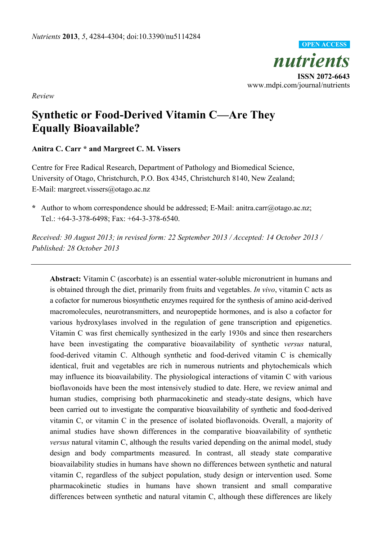

*Review* 

# **Synthetic or Food-Derived Vitamin C—Are They Equally Bioavailable?**

## **Anitra C. Carr \* and Margreet C. M. Vissers**

Centre for Free Radical Research, Department of Pathology and Biomedical Science, University of Otago, Christchurch, P.O. Box 4345, Christchurch 8140, New Zealand; E-Mail: margreet.vissers@otago.ac.nz

**\*** Author to whom correspondence should be addressed; E-Mail: anitra.carr@otago.ac.nz; Tel.: +64-3-378-6498; Fax: +64-3-378-6540.

*Received: 30 August 2013; in revised form: 22 September 2013 / Accepted: 14 October 2013 / Published: 28 October 2013* 

**Abstract:** Vitamin C (ascorbate) is an essential water-soluble micronutrient in humans and is obtained through the diet, primarily from fruits and vegetables. *In vivo*, vitamin C acts as a cofactor for numerous biosynthetic enzymes required for the synthesis of amino acid-derived macromolecules, neurotransmitters, and neuropeptide hormones, and is also a cofactor for various hydroxylases involved in the regulation of gene transcription and epigenetics. Vitamin C was first chemically synthesized in the early 1930s and since then researchers have been investigating the comparative bioavailability of synthetic *versus* natural, food-derived vitamin C. Although synthetic and food-derived vitamin C is chemically identical, fruit and vegetables are rich in numerous nutrients and phytochemicals which may influence its bioavailability. The physiological interactions of vitamin C with various bioflavonoids have been the most intensively studied to date. Here, we review animal and human studies, comprising both pharmacokinetic and steady-state designs, which have been carried out to investigate the comparative bioavailability of synthetic and food-derived vitamin C, or vitamin C in the presence of isolated bioflavonoids. Overall, a majority of animal studies have shown differences in the comparative bioavailability of synthetic *versus* natural vitamin C, although the results varied depending on the animal model, study design and body compartments measured. In contrast, all steady state comparative bioavailability studies in humans have shown no differences between synthetic and natural vitamin C, regardless of the subject population, study design or intervention used. Some pharmacokinetic studies in humans have shown transient and small comparative differences between synthetic and natural vitamin C, although these differences are likely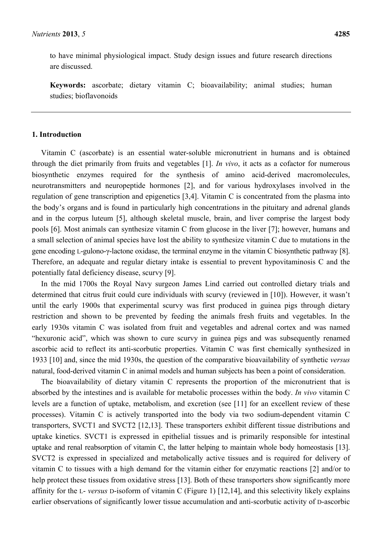to have minimal physiological impact. Study design issues and future research directions are discussed.

**Keywords:** ascorbate; dietary vitamin C; bioavailability; animal studies; human studies; bioflavonoids

## **1. Introduction**

Vitamin C (ascorbate) is an essential water-soluble micronutrient in humans and is obtained through the diet primarily from fruits and vegetables [1]. *In vivo*, it acts as a cofactor for numerous biosynthetic enzymes required for the synthesis of amino acid-derived macromolecules, neurotransmitters and neuropeptide hormones [2], and for various hydroxylases involved in the regulation of gene transcription and epigenetics [3,4]. Vitamin C is concentrated from the plasma into the body's organs and is found in particularly high concentrations in the pituitary and adrenal glands and in the corpus luteum [5], although skeletal muscle, brain, and liver comprise the largest body pools [6]. Most animals can synthesize vitamin C from glucose in the liver [7]; however, humans and a small selection of animal species have lost the ability to synthesize vitamin C due to mutations in the gene encoding L-gulono-γ-lactone oxidase, the terminal enzyme in the vitamin C biosynthetic pathway [8]. Therefore, an adequate and regular dietary intake is essential to prevent hypovitaminosis C and the potentially fatal deficiency disease, scurvy [9].

In the mid 1700s the Royal Navy surgeon James Lind carried out controlled dietary trials and determined that citrus fruit could cure individuals with scurvy (reviewed in [10]). However, it wasn't until the early 1900s that experimental scurvy was first produced in guinea pigs through dietary restriction and shown to be prevented by feeding the animals fresh fruits and vegetables. In the early 1930s vitamin C was isolated from fruit and vegetables and adrenal cortex and was named "hexuronic acid", which was shown to cure scurvy in guinea pigs and was subsequently renamed ascorbic acid to reflect its anti-scorbutic properties. Vitamin C was first chemically synthesized in 1933 [10] and, since the mid 1930s, the question of the comparative bioavailability of synthetic *versus* natural, food-derived vitamin C in animal models and human subjects has been a point of consideration.

The bioavailability of dietary vitamin C represents the proportion of the micronutrient that is absorbed by the intestines and is available for metabolic processes within the body. *In vivo* vitamin C levels are a function of uptake, metabolism, and excretion (see [11] for an excellent review of these processes). Vitamin C is actively transported into the body via two sodium-dependent vitamin C transporters, SVCT1 and SVCT2 [12,13]. These transporters exhibit different tissue distributions and uptake kinetics. SVCT1 is expressed in epithelial tissues and is primarily responsible for intestinal uptake and renal reabsorption of vitamin C, the latter helping to maintain whole body homeostasis [13]. SVCT2 is expressed in specialized and metabolically active tissues and is required for delivery of vitamin C to tissues with a high demand for the vitamin either for enzymatic reactions [2] and/or to help protect these tissues from oxidative stress [13]. Both of these transporters show significantly more affinity for the L- *versus* D-isoform of vitamin C (Figure 1) [12,14], and this selectivity likely explains earlier observations of significantly lower tissue accumulation and anti-scorbutic activity of D-ascorbic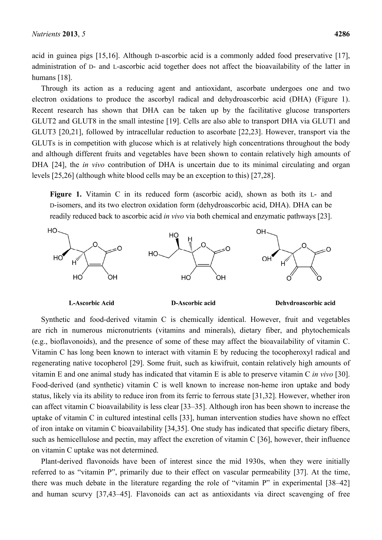acid in guinea pigs [15,16]. Although D-ascorbic acid is a commonly added food preservative [17], administration of D- and L-ascorbic acid together does not affect the bioavailability of the latter in humans [18].

Through its action as a reducing agent and antioxidant, ascorbate undergoes one and two electron oxidations to produce the ascorbyl radical and dehydroascorbic acid (DHA) (Figure 1). Recent research has shown that DHA can be taken up by the facilitative glucose transporters GLUT2 and GLUT8 in the small intestine [19]. Cells are also able to transport DHA via GLUT1 and GLUT3 [20,21], followed by intracellular reduction to ascorbate [22,23]. However, transport via the GLUTs is in competition with glucose which is at relatively high concentrations throughout the body and although different fruits and vegetables have been shown to contain relatively high amounts of DHA [24], the *in vivo* contribution of DHA is uncertain due to its minimal circulating and organ levels [25,26] (although white blood cells may be an exception to this) [27,28].

**Figure 1.** Vitamin C in its reduced form (ascorbic acid), shown as both its L- and D-isomers, and its two electron oxidation form (dehydroascorbic acid, DHA). DHA can be readily reduced back to ascorbic acid *in vivo* via both chemical and enzymatic pathways [23].



L-Ascorbic Acid

D-Ascorbic acid

#### Dehydroascorbic acid

Synthetic and food-derived vitamin C is chemically identical. However, fruit and vegetables are rich in numerous micronutrients (vitamins and minerals), dietary fiber, and phytochemicals (e.g., bioflavonoids), and the presence of some of these may affect the bioavailability of vitamin C. Vitamin C has long been known to interact with vitamin E by reducing the tocopheroxyl radical and regenerating native tocopherol [29]. Some fruit, such as kiwifruit, contain relatively high amounts of vitamin E and one animal study has indicated that vitamin E is able to preserve vitamin C *in vivo* [30]. Food-derived (and synthetic) vitamin C is well known to increase non-heme iron uptake and body status, likely via its ability to reduce iron from its ferric to ferrous state [31,32]. However, whether iron can affect vitamin C bioavailability is less clear [33–35]. Although iron has been shown to increase the uptake of vitamin C in cultured intestinal cells [33], human intervention studies have shown no effect of iron intake on vitamin C bioavailability [34,35]. One study has indicated that specific dietary fibers, such as hemicellulose and pectin, may affect the excretion of vitamin C [36], however, their influence on vitamin C uptake was not determined.

Plant-derived flavonoids have been of interest since the mid 1930s, when they were initially referred to as "vitamin P", primarily due to their effect on vascular permeability [37]. At the time, there was much debate in the literature regarding the role of "vitamin P" in experimental [38–42] and human scurvy [37,43–45]. Flavonoids can act as antioxidants via direct scavenging of free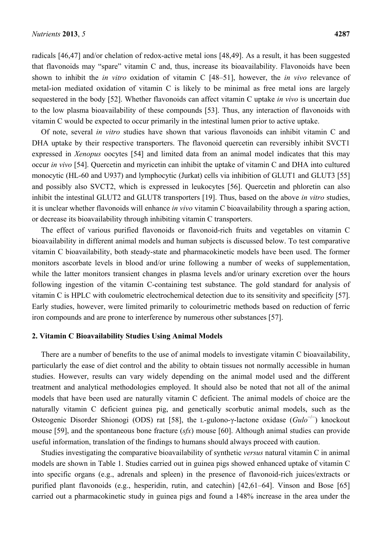radicals [46,47] and/or chelation of redox-active metal ions [48,49]. As a result, it has been suggested that flavonoids may "spare" vitamin C and, thus, increase its bioavailability. Flavonoids have been shown to inhibit the *in vitro* oxidation of vitamin C [48–51], however, the *in vivo* relevance of metal-ion mediated oxidation of vitamin C is likely to be minimal as free metal ions are largely sequestered in the body [52]. Whether flavonoids can affect vitamin C uptake *in vivo* is uncertain due to the low plasma bioavailability of these compounds [53]. Thus, any interaction of flavonoids with vitamin C would be expected to occur primarily in the intestinal lumen prior to active uptake.

Of note, several *in vitro* studies have shown that various flavonoids can inhibit vitamin C and DHA uptake by their respective transporters. The flavonoid quercetin can reversibly inhibit SVCT1 expressed in *Xenopus* oocytes [54] and limited data from an animal model indicates that this may occur *in vivo* [54]. Quercetin and myricetin can inhibit the uptake of vitamin C and DHA into cultured monocytic (HL-60 and U937) and lymphocytic (Jurkat) cells via inhibition of GLUT1 and GLUT3 [55] and possibly also SVCT2, which is expressed in leukocytes [56]. Quercetin and phloretin can also inhibit the intestinal GLUT2 and GLUT8 transporters [19]. Thus, based on the above *in vitro* studies, it is unclear whether flavonoids will enhance *in vivo* vitamin C bioavailability through a sparing action, or decrease its bioavailability through inhibiting vitamin C transporters.

The effect of various purified flavonoids or flavonoid-rich fruits and vegetables on vitamin C bioavailability in different animal models and human subjects is discussed below. To test comparative vitamin C bioavailability, both steady-state and pharmacokinetic models have been used. The former monitors ascorbate levels in blood and/or urine following a number of weeks of supplementation, while the latter monitors transient changes in plasma levels and/or urinary excretion over the hours following ingestion of the vitamin C-containing test substance. The gold standard for analysis of vitamin C is HPLC with coulometric electrochemical detection due to its sensitivity and specificity [57]. Early studies, however, were limited primarily to colourimetric methods based on reduction of ferric iron compounds and are prone to interference by numerous other substances [57].

### **2. Vitamin C Bioavailability Studies Using Animal Models**

There are a number of benefits to the use of animal models to investigate vitamin C bioavailability, particularly the ease of diet control and the ability to obtain tissues not normally accessible in human studies. However, results can vary widely depending on the animal model used and the different treatment and analytical methodologies employed. It should also be noted that not all of the animal models that have been used are naturally vitamin C deficient. The animal models of choice are the naturally vitamin C deficient guinea pig, and genetically scorbutic animal models, such as the Osteogenic Disorder Shionogi (ODS) rat [58], the L-gulono-γ-lactone oxidase (*Gulo*<sup>−</sup>/<sup>−</sup> ) knockout mouse [59], and the spontaneous bone fracture (*sfx*) mouse [60]. Although animal studies can provide useful information, translation of the findings to humans should always proceed with caution.

Studies investigating the comparative bioavailability of synthetic *versus* natural vitamin C in animal models are shown in Table 1. Studies carried out in guinea pigs showed enhanced uptake of vitamin C into specific organs (e.g., adrenals and spleen) in the presence of flavonoid-rich juices/extracts or purified plant flavonoids (e.g., hesperidin, rutin, and catechin) [42,61–64]. Vinson and Bose [65] carried out a pharmacokinetic study in guinea pigs and found a 148% increase in the area under the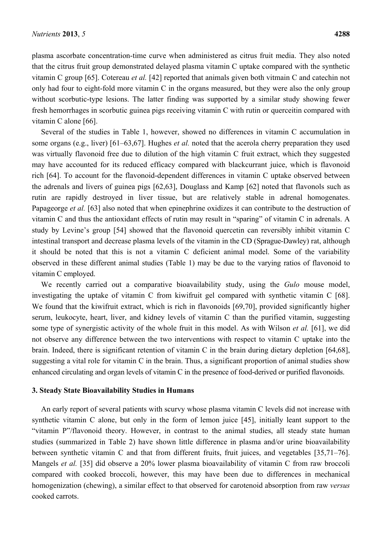plasma ascorbate concentration-time curve when administered as citrus fruit media. They also noted that the citrus fruit group demonstrated delayed plasma vitamin C uptake compared with the synthetic vitamin C group [65]. Cotereau *et al.* [42] reported that animals given both vitmain C and catechin not only had four to eight-fold more vitamin C in the organs measured, but they were also the only group without scorbutic-type lesions. The latter finding was supported by a similar study showing fewer fresh hemorrhages in scorbutic guinea pigs receiving vitamin C with rutin or querceitin compared with vitamin C alone [66].

Several of the studies in Table 1, however, showed no differences in vitamin C accumulation in some organs (e.g., liver) [61–63,67]. Hughes *et al.* noted that the acerola cherry preparation they used was virtually flavonoid free due to dilution of the high vitamin C fruit extract, which they suggested may have accounted for its reduced efficacy compared with blackcurrant juice, which is flavonoid rich [64]. To account for the flavonoid-dependent differences in vitamin C uptake observed between the adrenals and livers of guinea pigs [62,63], Douglass and Kamp [62] noted that flavonols such as rutin are rapidly destroyed in liver tissue, but are relatively stable in adrenal homogenates. Papageorge *et al.* [63] also noted that when epinephrine oxidizes it can contribute to the destruction of vitamin C and thus the antioxidant effects of rutin may result in "sparing" of vitamin C in adrenals. A study by Levine's group [54] showed that the flavonoid quercetin can reversibly inhibit vitamin C intestinal transport and decrease plasma levels of the vitamin in the CD (Sprague-Dawley) rat, although it should be noted that this is not a vitamin C deficient animal model. Some of the variability observed in these different animal studies (Table 1) may be due to the varying ratios of flavonoid to vitamin C employed.

We recently carried out a comparative bioavailability study, using the *Gulo* mouse model, investigating the uptake of vitamin C from kiwifruit gel compared with synthetic vitamin C [68]. We found that the kiwifruit extract, which is rich in flavonoids [69,70], provided significantly higher serum, leukocyte, heart, liver, and kidney levels of vitamin C than the purified vitamin, suggesting some type of synergistic activity of the whole fruit in this model. As with Wilson *et al.* [61], we did not observe any difference between the two interventions with respect to vitamin C uptake into the brain. Indeed, there is significant retention of vitamin C in the brain during dietary depletion [64,68], suggesting a vital role for vitamin C in the brain. Thus, a significant proportion of animal studies show enhanced circulating and organ levels of vitamin C in the presence of food-derived or purified flavonoids.

### **3. Steady State Bioavailability Studies in Humans**

An early report of several patients with scurvy whose plasma vitamin C levels did not increase with synthetic vitamin C alone, but only in the form of lemon juice [45], initially leant support to the "vitamin P"/flavonoid theory. However, in contrast to the animal studies, all steady state human studies (summarized in Table 2) have shown little difference in plasma and/or urine bioavailability between synthetic vitamin C and that from different fruits, fruit juices, and vegetables [35,71–76]. Mangels *et al.* [35] did observe a 20% lower plasma bioavailability of vitamin C from raw broccoli compared with cooked broccoli, however, this may have been due to differences in mechanical homogenization (chewing), a similar effect to that observed for carotenoid absorption from raw *versus* cooked carrots.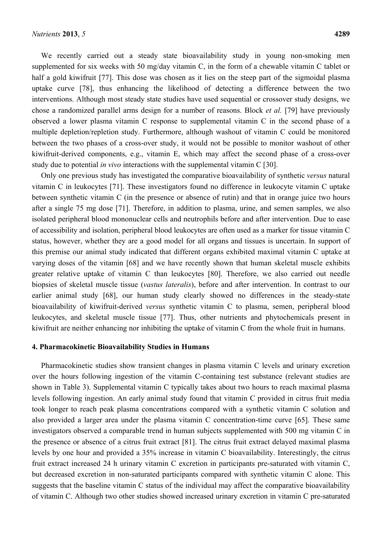We recently carried out a steady state bioavailability study in young non-smoking men supplemented for six weeks with 50 mg/day vitamin C, in the form of a chewable vitamin C tablet or half a gold kiwifruit [77]. This dose was chosen as it lies on the steep part of the sigmoidal plasma uptake curve [78], thus enhancing the likelihood of detecting a difference between the two interventions. Although most steady state studies have used sequential or crossover study designs, we chose a randomized parallel arms design for a number of reasons. Block *et al.* [79] have previously observed a lower plasma vitamin C response to supplemental vitamin C in the second phase of a multiple depletion/repletion study. Furthermore, although washout of vitamin C could be monitored between the two phases of a cross-over study, it would not be possible to monitor washout of other kiwifruit-derived components, e.g., vitamin E, which may affect the second phase of a cross-over study due to potential *in vivo* interactions with the supplemental vitamin C [30].

Only one previous study has investigated the comparative bioavailability of synthetic *versus* natural vitamin C in leukocytes [71]. These investigators found no difference in leukocyte vitamin C uptake between synthetic vitamin C (in the presence or absence of rutin) and that in orange juice two hours after a single 75 mg dose [71]. Therefore, in addition to plasma, urine, and semen samples, we also isolated peripheral blood mononuclear cells and neutrophils before and after intervention. Due to ease of accessibility and isolation, peripheral blood leukocytes are often used as a marker for tissue vitamin C status, however, whether they are a good model for all organs and tissues is uncertain. In support of this premise our animal study indicated that different organs exhibited maximal vitamin C uptake at varying doses of the vitamin [68] and we have recently shown that human skeletal muscle exhibits greater relative uptake of vitamin C than leukocytes [80]. Therefore, we also carried out needle biopsies of skeletal muscle tissue (*vastus lateralis*), before and after intervention. In contrast to our earlier animal study [68], our human study clearly showed no differences in the steady-state bioavailability of kiwifruit-derived *versus* synthetic vitamin C to plasma, semen, peripheral blood leukocytes, and skeletal muscle tissue [77]. Thus, other nutrients and phytochemicals present in kiwifruit are neither enhancing nor inhibiting the uptake of vitamin C from the whole fruit in humans.

### **4. Pharmacokinetic Bioavailability Studies in Humans**

Pharmacokinetic studies show transient changes in plasma vitamin C levels and urinary excretion over the hours following ingestion of the vitamin C-containing test substance (relevant studies are shown in Table 3). Supplemental vitamin C typically takes about two hours to reach maximal plasma levels following ingestion. An early animal study found that vitamin C provided in citrus fruit media took longer to reach peak plasma concentrations compared with a synthetic vitamin C solution and also provided a larger area under the plasma vitamin C concentration-time curve [65]. These same investigators observed a comparable trend in human subjects supplemented with 500 mg vitamin C in the presence or absence of a citrus fruit extract [81]. The citrus fruit extract delayed maximal plasma levels by one hour and provided a 35% increase in vitamin C bioavailability. Interestingly, the citrus fruit extract increased 24 h urinary vitamin C excretion in participants pre-saturated with vitamin C, but decreased excretion in non-saturated participants compared with synthetic vitamin C alone. This suggests that the baseline vitamin C status of the individual may affect the comparative bioavailability of vitamin C. Although two other studies showed increased urinary excretion in vitamin C pre-saturated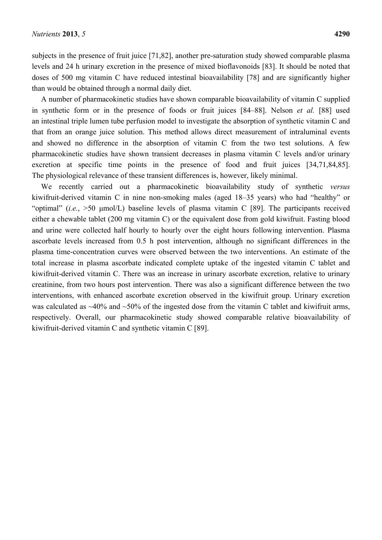subjects in the presence of fruit juice [71,82], another pre-saturation study showed comparable plasma levels and 24 h urinary excretion in the presence of mixed bioflavonoids [83]. It should be noted that doses of 500 mg vitamin C have reduced intestinal bioavailability [78] and are significantly higher than would be obtained through a normal daily diet.

A number of pharmacokinetic studies have shown comparable bioavailability of vitamin C supplied in synthetic form or in the presence of foods or fruit juices [84–88]. Nelson *et al.* [88] used an intestinal triple lumen tube perfusion model to investigate the absorption of synthetic vitamin C and that from an orange juice solution. This method allows direct measurement of intraluminal events and showed no difference in the absorption of vitamin C from the two test solutions. A few pharmacokinetic studies have shown transient decreases in plasma vitamin C levels and/or urinary excretion at specific time points in the presence of food and fruit juices [34,71,84,85]. The physiological relevance of these transient differences is, however, likely minimal.

We recently carried out a pharmacokinetic bioavailability study of synthetic *versus* kiwifruit-derived vitamin C in nine non-smoking males (aged 18–35 years) who had "healthy" or "optimal" (*i.e.*, >50 μmol/L) baseline levels of plasma vitamin C [89]. The participants received either a chewable tablet (200 mg vitamin C) or the equivalent dose from gold kiwifruit. Fasting blood and urine were collected half hourly to hourly over the eight hours following intervention. Plasma ascorbate levels increased from 0.5 h post intervention, although no significant differences in the plasma time-concentration curves were observed between the two interventions. An estimate of the total increase in plasma ascorbate indicated complete uptake of the ingested vitamin C tablet and kiwifruit-derived vitamin C. There was an increase in urinary ascorbate excretion, relative to urinary creatinine, from two hours post intervention. There was also a significant difference between the two interventions, with enhanced ascorbate excretion observed in the kiwifruit group. Urinary excretion was calculated as  $\sim$ 40% and  $\sim$ 50% of the ingested dose from the vitamin C tablet and kiwifruit arms, respectively. Overall, our pharmacokinetic study showed comparable relative bioavailability of kiwifruit-derived vitamin C and synthetic vitamin C [89].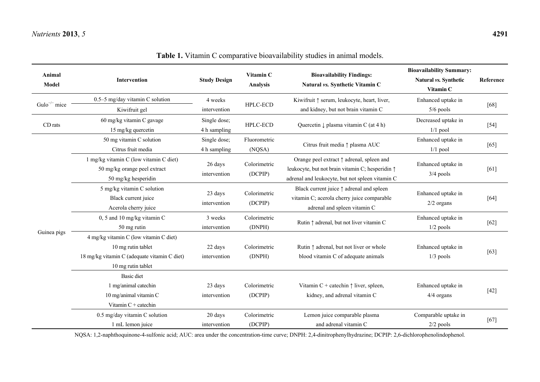| Animal<br><b>Model</b>                             | <b>Intervention</b>                          | <b>Study Design</b>     | Vitamin C<br><b>Analysis</b> | <b>Bioavailability Findings:</b><br>Natural vs. Synthetic Vitamin C | <b>Bioavailability Summary:</b><br>Natural vs. Synthetic<br>Vitamin C | Reference |
|----------------------------------------------------|----------------------------------------------|-------------------------|------------------------------|---------------------------------------------------------------------|-----------------------------------------------------------------------|-----------|
|                                                    | 0.5-5 mg/day vitamin C solution              | 4 weeks                 | HPLC-ECD                     | Kiwifruit $\uparrow$ serum, leukocyte, heart, liver,                | Enhanced uptake in                                                    | [68]      |
| Gulo <sup>-/-</sup> mice<br>CD rats<br>Guinea pigs | Kiwifruit gel                                | intervention            |                              | and kidney, but not brain vitamin C                                 | $5/6$ pools                                                           |           |
|                                                    | 60 mg/kg vitamin C gavage                    | Single dose;            | HPLC-ECD                     | Quercetin $\downarrow$ plasma vitamin C (at 4 h)                    | Decreased uptake in                                                   | $[54]$    |
|                                                    | 15 mg/kg quercetin                           | 4 h sampling            |                              |                                                                     | $1/1$ pool                                                            |           |
|                                                    | 50 mg vitamin C solution                     | Single dose;            | Fluorometric                 | Citrus fruit media $\uparrow$ plasma AUC                            | Enhanced uptake in                                                    | [65]      |
|                                                    | Citrus fruit media                           | 4 h sampling            | (NQSA)                       |                                                                     | $1/1$ pool                                                            |           |
|                                                    | 1 mg/kg vitamin C (low vitamin C diet)       | 26 days                 | Colorimetric                 | Orange peel extract $\uparrow$ adrenal, spleen and                  | Enhanced uptake in                                                    | [61]      |
|                                                    | 50 mg/kg orange peel extract                 | intervention            | (DCPIP)                      | leukocyte, but not brain vitamin C; hesperidin $\uparrow$           | $3/4$ pools                                                           |           |
|                                                    | 50 mg/kg hesperidin                          |                         |                              | adrenal and leukocyte, but not spleen vitamin C                     |                                                                       |           |
|                                                    | 5 mg/kg vitamin C solution                   | 23 days<br>intervention | Colorimetric<br>(DCPIP)      | Black current juice $\uparrow$ adrenal and spleen                   | Enhanced uptake in                                                    | $[64]$    |
|                                                    | Black current juice                          |                         |                              | vitamin C; acerola cherry juice comparable                          | $2/2$ organs                                                          |           |
|                                                    | Acerola cherry juice                         |                         |                              | adrenal and spleen vitamin C                                        |                                                                       |           |
|                                                    | 0, 5 and 10 mg/kg vitamin $C$                | 3 weeks                 | Colorimetric                 | Rutin $\uparrow$ adrenal, but not liver vitamin C                   | Enhanced uptake in                                                    | $[62]$    |
|                                                    | 50 mg rutin                                  | intervention            | (DNPH)                       |                                                                     | $1/2$ pools                                                           |           |
|                                                    | 4 mg/kg vitamin C (low vitamin C diet)       |                         |                              |                                                                     |                                                                       |           |
|                                                    | 10 mg rutin tablet                           | 22 days                 | Colorimetric                 | Rutin ↑ adrenal, but not liver or whole                             | Enhanced uptake in<br>$1/3$ pools                                     | [63]      |
|                                                    | 18 mg/kg vitamin C (adequate vitamin C diet) | intervention            | (DNPH)                       | blood vitamin C of adequate animals                                 |                                                                       |           |
|                                                    | 10 mg rutin tablet                           |                         |                              |                                                                     |                                                                       |           |
|                                                    | <b>Basic</b> diet                            |                         |                              |                                                                     |                                                                       |           |
|                                                    | 1 mg/animal catechin                         | 23 days                 | Colorimetric                 | Vitamin C + catechin $\uparrow$ liver, spleen,                      | Enhanced uptake in                                                    | $[42]$    |
|                                                    | 10 mg/animal vitamin C                       | intervention            | (DCPIP)                      | kidney, and adrenal vitamin C                                       | 4/4 organs                                                            |           |
|                                                    | Vitamin C + catechin                         |                         |                              |                                                                     |                                                                       |           |
|                                                    | $0.5$ mg/day vitamin C solution              | 20 days                 | Colorimetric                 | Lemon juice comparable plasma                                       | Comparable uptake in                                                  | [67]      |
|                                                    | 1 mL lemon juice                             | intervention            | (DCPIP)                      | and adrenal vitamin C                                               | $2/2$ pools                                                           |           |

**Table 1.** Vitamin C comparative bioavailability studies in animal models.

NQSA: 1,2-naphthoquinone-4-sulfonic acid; AUC: area under the concentration-time curve; DNPH: 2,4-dinitrophenylhydrazine; DCPIP: 2,6-dichlorophenolindophenol.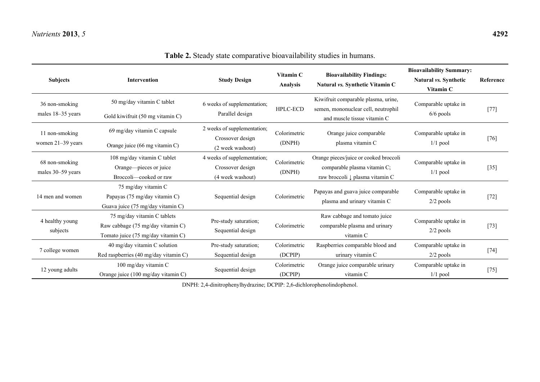# **Table 2.** Steady state comparative bioavailability studies in humans.

| <b>Subjects</b>                     | <b>Intervention</b>                                                                                    | <b>Study Design</b>                                                 | Vitamin C<br><b>Analysis</b> | <b>Bioavailability Findings:</b><br>Natural vs. Synthetic Vitamin C                                       | <b>Bioavailability Summary:</b><br>Natural vs. Synthetic<br>Vitamin C | Reference |
|-------------------------------------|--------------------------------------------------------------------------------------------------------|---------------------------------------------------------------------|------------------------------|-----------------------------------------------------------------------------------------------------------|-----------------------------------------------------------------------|-----------|
| 36 non-smoking<br>males 18–35 years | 50 mg/day vitamin C tablet<br>Gold kiwifruit (50 mg vitamin C)                                         | 6 weeks of supplementation;<br>Parallel design                      | <b>HPLC-ECD</b>              | Kiwifruit comparable plasma, urine,<br>semen, mononuclear cell, neutrophil<br>and muscle tissue vitamin C | Comparable uptake in<br>$6/6$ pools                                   | $[77]$    |
| 11 non-smoking<br>women 21-39 years | 69 mg/day vitamin C capsule<br>Orange juice (66 mg vitamin C)                                          | 2 weeks of supplementation;<br>Crossover design<br>(2 week washout) | Colorimetric<br>(DNPH)       | Orange juice comparable<br>plasma vitamin C                                                               | Comparable uptake in<br>$1/1$ pool                                    | $[76]$    |
| 68 non-smoking<br>males 30–59 years | 108 mg/day vitamin C tablet<br>Orange—pieces or juice<br>Broccoli—cooked or raw                        | 4 weeks of supplementation;<br>Crossover design<br>(4 week washout) | Colorimetric<br>(DNPH)       | Orange pieces/juice or cooked broccoli<br>comparable plasma vitamin C;<br>raw broccoli ↓ plasma vitamin C | Comparable uptake in<br>$1/1$ pool                                    | $[35]$    |
| 14 men and women                    | 75 mg/day vitamin C<br>Papayas (75 mg/day vitamin C)<br>Guava juice (75 mg/day vitamin C)              | Sequential design                                                   | Colorimetric                 | Papayas and guava juice comparable<br>plasma and urinary vitamin C                                        | Comparable uptake in<br>$2/2$ pools                                   | $[72]$    |
| 4 healthy young<br>subjects         | 75 mg/day vitamin C tablets<br>Raw cabbage (75 mg/day vitamin C)<br>Tomato juice (75 mg/day vitamin C) | Pre-study saturation;<br>Sequential design                          | Colorimetric                 | Raw cabbage and tomato juice<br>comparable plasma and urinary<br>vitamin C                                | Comparable uptake in<br>$2/2$ pools                                   | $[73]$    |
| 7 college women                     | 40 mg/day vitamin C solution<br>Red raspberries (40 mg/day vitamin C)                                  | Pre-study saturation;<br>Sequential design                          | Colorimetric<br>(DCPIP)      | Raspberries comparable blood and<br>urinary vitamin C                                                     | Comparable uptake in<br>$2/2$ pools                                   | $[74]$    |
| 12 young adults                     | 100 mg/day vitamin C<br>Orange juice (100 mg/day vitamin C)                                            | Sequential design                                                   | Colorimetric<br>(DCPIP)      | Orange juice comparable urinary<br>vitamin C                                                              | Comparable uptake in<br>$1/1$ pool                                    | $[75]$    |

DNPH: 2,4-dinitrophenylhydrazine; DCPIP: 2,6-dichlorophenolindophenol.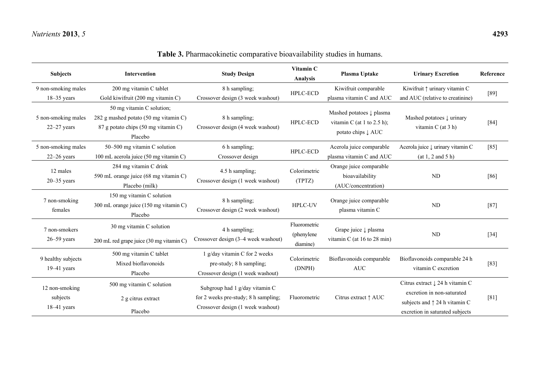| <b>Subjects</b>                           | Intervention                                                                                                         | <b>Study Design</b>                                                                                         | Vitamin C<br><b>Analysis</b>           | Plasma Uptake                                                                | <b>Urinary Excretion</b>                                                                                                                              | Reference |
|-------------------------------------------|----------------------------------------------------------------------------------------------------------------------|-------------------------------------------------------------------------------------------------------------|----------------------------------------|------------------------------------------------------------------------------|-------------------------------------------------------------------------------------------------------------------------------------------------------|-----------|
| 9 non-smoking males<br>$18-35$ years      | 200 mg vitamin C tablet<br>Gold kiwifruit (200 mg vitamin C)                                                         | 8 h sampling;<br>Crossover design (3 week washout)                                                          | HPLC-ECD                               | Kiwifruit comparable<br>plasma vitamin C and AUC                             | Kiwifruit $\uparrow$ urinary vitamin C<br>and AUC (relative to creatinine)                                                                            | $[89]$    |
| 5 non-smoking males<br>$22 - 27$ years    | 50 mg vitamin C solution;<br>282 g mashed potato (50 mg vitamin C)<br>87 g potato chips (50 mg vitamin C)<br>Placebo | 8 h sampling;<br>Crossover design (4 week washout)                                                          | HPLC-ECD                               | Mashed potatoes ↓ plasma<br>vitamin C (at 1 to 2.5 h);<br>potato chips ↓ AUC | Mashed potatoes $\downarrow$ urinary<br>vitamin C (at 3 h)                                                                                            | $[84]$    |
| 5 non-smoking males<br>$22 - 26$ years    | 50–500 mg vitamin C solution<br>100 mL acerola juice (50 mg vitamin C)                                               | 6 h sampling;<br>Crossover design                                                                           | HPLC-ECD                               | Acerola juice comparable<br>plasma vitamin C and AUC                         | Acerola juice $\downarrow$ urinary vitamin C<br>(at 1, 2 and 5 h)                                                                                     | $[85]$    |
| 12 males<br>$20 - 35$ years               | 284 mg vitamin C drink<br>590 mL orange juice (68 mg vitamin C)<br>Placebo (milk)                                    | 4.5 h sampling;<br>Crossover design (1 week washout)                                                        | Colorimetric<br>(TPTZ)                 | Orange juice comparable<br>bioavailability<br>(AUC/concentration)            | ND                                                                                                                                                    | [86]      |
| 7 non-smoking<br>females                  | 150 mg vitamin C solution<br>300 mL orange juice (150 mg vitamin C)<br>Placebo                                       | 8 h sampling;<br>Crossover design (2 week washout)                                                          | HPLC-UV                                | Orange juice comparable<br>plasma vitamin C                                  | ND                                                                                                                                                    | $[87]$    |
| 7 non-smokers<br>$26 - 59$ years          | 30 mg vitamin C solution<br>200 mL red grape juice (30 mg vitamin C)                                                 | 4 h sampling;<br>Crossover design (3-4 week washout)                                                        | Fluorometric<br>(phenylene<br>diamine) | Grape juice ↓ plasma<br>vitamin C (at $16$ to $28$ min)                      | ND                                                                                                                                                    | $[34]$    |
| 9 healthy subjects<br>$19-41$ years       | 500 mg vitamin C tablet<br>Mixed bioflavonoids<br>Placebo                                                            | 1 g/day vitamin C for 2 weeks<br>pre-study; 8 h sampling;<br>Crossover design (1 week washout)              | Colorimetric<br>(DNPH)                 | Bioflavonoids comparable<br><b>AUC</b>                                       | Bioflavonoids comparable 24 h<br>vitamin C excretion                                                                                                  | $[83]$    |
| 12 non-smoking<br>subjects<br>18-41 years | 500 mg vitamin C solution<br>2 g citrus extract<br>Placebo                                                           | Subgroup had 1 g/day vitamin C<br>for 2 weeks pre-study; 8 h sampling;<br>Crossover design (1 week washout) | Fluorometric                           | Citrus extract $\uparrow$ AUC                                                | Citrus extract $\downarrow$ 24 h vitamin C<br>excretion in non-saturated<br>subjects and $\uparrow$ 24 h vitamin C<br>excretion in saturated subjects | [81]      |

**Table 3.** Pharmacokinetic comparative bioavailability studies in humans.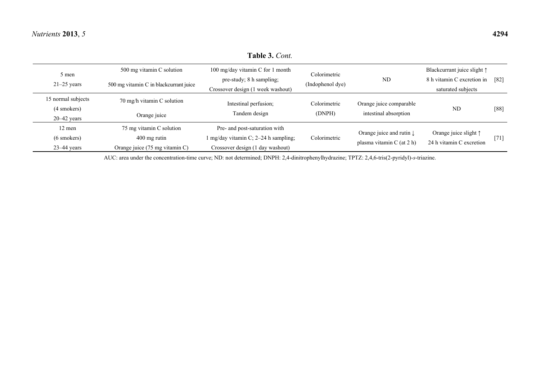### **Table 3.** *Cont.*

| 5 men              | 500 mg vitamin C solution              | 100 mg/day vitamin C for 1 month                 | Colorimetric     |                                     | Blackcurrant juice slight 1    |      |
|--------------------|----------------------------------------|--------------------------------------------------|------------------|-------------------------------------|--------------------------------|------|
| $21-25$ years      | 500 mg vitamin C in blackcurrant juice | pre-study; 8 h sampling;                         | (Indophenol dye) | <b>ND</b>                           | 8 h vitamin C excretion in     | [82] |
|                    |                                        | Crossover design (1 week washout)                |                  |                                     | saturated subjects             |      |
| 15 normal subjects | 70 mg/h vitamin C solution             | Intestinal perfusion;                            | Colorimetric     | Orange juice comparable             |                                |      |
| (4 smokers)        | Orange juice                           | Tandem design                                    | (DNPH)           | intestinal absorption               | N <sub>D</sub>                 | [88] |
| $20 - 42$ years    |                                        |                                                  |                  |                                     |                                |      |
| 12 men             | 75 mg vitamin C solution               | Pre- and post-saturation with                    |                  | Orange juice and rutin $\downarrow$ | Orange juice slight $\uparrow$ |      |
| $(6$ smokers)      | $400$ mg rutin                         | $\ln \frac{mg}{day}$ vitamin C; 2–24 h sampling; | Colorimetric     |                                     |                                | [71] |
| $23-44$ years      | Orange juice (75 mg vitamin C)         | Crossover design (1 day washout)                 |                  | plasma vitamin C (at 2 h)           | 24 h vitamin C excretion       |      |

AUC: area under the concentration-time curve; ND: not determined; DNPH: 2,4-dinitrophenylhydrazine; TPTZ: 2,4,6-tris(2-pyridyl)-*s*-triazine.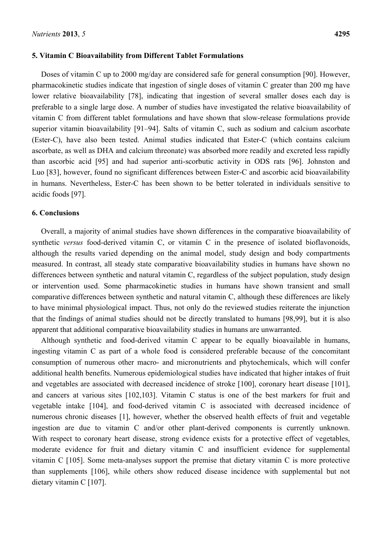### **5. Vitamin C Bioavailability from Different Tablet Formulations**

Doses of vitamin C up to 2000 mg/day are considered safe for general consumption [90]. However, pharmacokinetic studies indicate that ingestion of single doses of vitamin C greater than 200 mg have lower relative bioavailability [78], indicating that ingestion of several smaller doses each day is preferable to a single large dose. A number of studies have investigated the relative bioavailability of vitamin C from different tablet formulations and have shown that slow-release formulations provide superior vitamin bioavailability [91–94]. Salts of vitamin C, such as sodium and calcium ascorbate (Ester-C), have also been tested. Animal studies indicated that Ester-C (which contains calcium ascorbate, as well as DHA and calcium threonate) was absorbed more readily and excreted less rapidly than ascorbic acid [95] and had superior anti-scorbutic activity in ODS rats [96]. Johnston and Luo [83], however, found no significant differences between Ester-C and ascorbic acid bioavailability in humans. Nevertheless, Ester-C has been shown to be better tolerated in individuals sensitive to acidic foods [97].

### **6. Conclusions**

Overall, a majority of animal studies have shown differences in the comparative bioavailability of synthetic *versus* food-derived vitamin C, or vitamin C in the presence of isolated bioflavonoids, although the results varied depending on the animal model, study design and body compartments measured. In contrast, all steady state comparative bioavailability studies in humans have shown no differences between synthetic and natural vitamin C, regardless of the subject population, study design or intervention used. Some pharmacokinetic studies in humans have shown transient and small comparative differences between synthetic and natural vitamin C, although these differences are likely to have minimal physiological impact. Thus, not only do the reviewed studies reiterate the injunction that the findings of animal studies should not be directly translated to humans [98,99], but it is also apparent that additional comparative bioavailability studies in humans are unwarranted.

Although synthetic and food-derived vitamin C appear to be equally bioavailable in humans, ingesting vitamin C as part of a whole food is considered preferable because of the concomitant consumption of numerous other macro- and micronutrients and phytochemicals, which will confer additional health benefits. Numerous epidemiological studies have indicated that higher intakes of fruit and vegetables are associated with decreased incidence of stroke [100], coronary heart disease [101], and cancers at various sites [102,103]. Vitamin C status is one of the best markers for fruit and vegetable intake [104], and food-derived vitamin C is associated with decreased incidence of numerous chronic diseases [1], however, whether the observed health effects of fruit and vegetable ingestion are due to vitamin C and/or other plant-derived components is currently unknown. With respect to coronary heart disease, strong evidence exists for a protective effect of vegetables, moderate evidence for fruit and dietary vitamin C and insufficient evidence for supplemental vitamin C [105]. Some meta-analyses support the premise that dietary vitamin C is more protective than supplements [106], while others show reduced disease incidence with supplemental but not dietary vitamin C [107].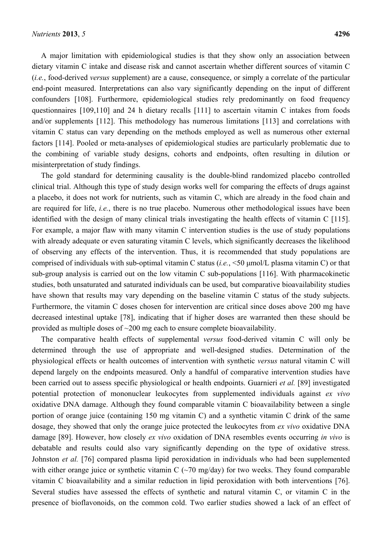A major limitation with epidemiological studies is that they show only an association between dietary vitamin C intake and disease risk and cannot ascertain whether different sources of vitamin C (*i.e.*, food-derived *versus* supplement) are a cause, consequence, or simply a correlate of the particular end-point measured. Interpretations can also vary significantly depending on the input of different confounders [108]. Furthermore, epidemiological studies rely predominantly on food frequency questionnaires [109,110] and 24 h dietary recalls [111] to ascertain vitamin C intakes from foods and/or supplements [112]. This methodology has numerous limitations [113] and correlations with vitamin C status can vary depending on the methods employed as well as numerous other external factors [114]. Pooled or meta-analyses of epidemiological studies are particularly problematic due to the combining of variable study designs, cohorts and endpoints, often resulting in dilution or misinterpretation of study findings.

The gold standard for determining causality is the double-blind randomized placebo controlled clinical trial. Although this type of study design works well for comparing the effects of drugs against a placebo, it does not work for nutrients, such as vitamin C, which are already in the food chain and are required for life, *i.e.*, there is no true placebo. Numerous other methodological issues have been identified with the design of many clinical trials investigating the health effects of vitamin C [115]. For example, a major flaw with many vitamin C intervention studies is the use of study populations with already adequate or even saturating vitamin C levels, which significantly decreases the likelihood of observing any effects of the intervention. Thus, it is recommended that study populations are comprised of individuals with sub-optimal vitamin C status (*i.e.*, <50 μmol/L plasma vitamin C) or that sub-group analysis is carried out on the low vitamin C sub-populations [116]. With pharmacokinetic studies, both unsaturated and saturated individuals can be used, but comparative bioavailability studies have shown that results may vary depending on the baseline vitamin C status of the study subjects. Furthermore, the vitamin C doses chosen for intervention are critical since doses above 200 mg have decreased intestinal uptake [78], indicating that if higher doses are warranted then these should be provided as multiple doses of  $\sim$ 200 mg each to ensure complete bioavailability.

The comparative health effects of supplemental *versus* food-derived vitamin C will only be determined through the use of appropriate and well-designed studies. Determination of the physiological effects or health outcomes of intervention with synthetic *versus* natural vitamin C will depend largely on the endpoints measured. Only a handful of comparative intervention studies have been carried out to assess specific physiological or health endpoints. Guarnieri *et al.* [89] investigated potential protection of mononuclear leukocytes from supplemented individuals against *ex vivo* oxidative DNA damage. Although they found comparable vitamin C bioavailability between a single portion of orange juice (containing 150 mg vitamin C) and a synthetic vitamin C drink of the same dosage, they showed that only the orange juice protected the leukocytes from *ex vivo* oxidative DNA damage [89]. However, how closely *ex vivo* oxidation of DNA resembles events occurring *in vivo* is debatable and results could also vary significantly depending on the type of oxidative stress. Johnston *et al.* [76] compared plasma lipid peroxidation in individuals who had been supplemented with either orange juice or synthetic vitamin C  $(\sim 70 \text{ mg/day})$  for two weeks. They found comparable vitamin C bioavailability and a similar reduction in lipid peroxidation with both interventions [76]. Several studies have assessed the effects of synthetic and natural vitamin C, or vitamin C in the presence of bioflavonoids, on the common cold. Two earlier studies showed a lack of an effect of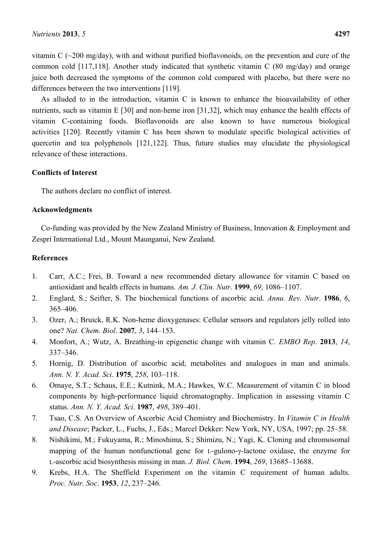vitamin C  $(\sim 200 \text{ mg/day})$ , with and without purified bioflavonoids, on the prevention and cure of the common cold [117,118]. Another study indicated that synthetic vitamin C (80 mg/day) and orange juice both decreased the symptoms of the common cold compared with placebo, but there were no differences between the two interventions [119].

As alluded to in the introduction, vitamin C is known to enhance the bioavailability of other nutrients, such as vitamin E [30] and non-heme iron [31,32], which may enhance the health effects of vitamin C-containing foods. Bioflavonoids are also known to have numerous biological activities [120]. Recently vitamin C has been shown to modulate specific biological activities of quercetin and tea polyphenols [121,122]. Thus, future studies may elucidate the physiological relevance of these interactions.

### **Conflicts of Interest**

The authors declare no conflict of interest.

### **Acknowledgments**

Co-funding was provided by the New Zealand Ministry of Business, Innovation & Employment and Zespri International Ltd., Mount Maunganui, New Zealand.

## **References**

- 1. Carr, A.C.; Frei, B. Toward a new recommended dietary allowance for vitamin C based on antioxidant and health effects in humans. *Am. J. Clin. Nutr*. **1999**, *69*, 1086–1107.
- 2. Englard, S.; Seifter, S. The biochemical functions of ascorbic acid. *Annu. Rev. Nutr*. **1986**, *6*, 365–406.
- 3. Ozer, A.; Bruick, R.K. Non-heme dioxygenases: Cellular sensors and regulators jelly rolled into one? *Nat. Chem. Biol*. **2007**, *3*, 144–153.
- 4. Monfort, A.; Wutz, A. Breathing-in epigenetic change with vitamin C. *EMBO Rep*. **2013**, *14*, 337–346.
- 5. Hornig, D. Distribution of ascorbic acid, metabolites and analogues in man and animals. *Ann. N. Y. Acad. Sci*. **1975**, *258*, 103–118.
- 6. Omaye, S.T.; Schaus, E.E.; Kutnink, M.A.; Hawkes, W.C. Measurement of vitamin C in blood components by high-performance liquid chromatography. Implication in assessing vitamin C status. *Ann. N. Y. Acad. Sci*. **1987**, *498*, 389–401.
- 7. Tsao, C.S. An Overview of Ascorbic Acid Chemistry and Biochemistry. In *Vitamin C in Health and Disease*; Packer, L., Fuchs, J., Eds.; Marcel Dekker: New York, NY, USA, 1997; pp. 25–58.
- 8. Nishikimi, M.; Fukuyama, R.; Minoshima, S.; Shimizu, N.; Yagi, K. Cloning and chromosomal mapping of the human nonfunctional gene for L-gulono-γ-lactone oxidase, the enzyme for L-ascorbic acid biosynthesis missing in man. *J. Biol. Chem*. **1994**, *269*, 13685–13688.
- 9. Krebs, H.A. The Sheffield Experiment on the vitamin C requirement of human adults. *Proc. Nutr. Soc*. **1953**, *12*, 237–246.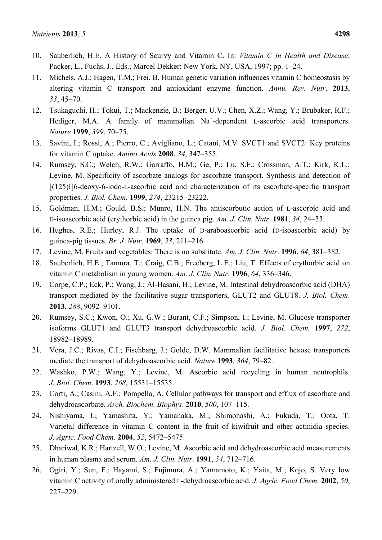- 10. Sauberlich, H.E. A History of Scurvy and Vitamin C. In: *Vitamin C in Health and Disease*; Packer, L., Fuchs, J., Eds.; Marcel Dekker: New York, NY, USA, 1997; pp. 1–24.
- 11. Michels, A.J.; Hagen, T.M.; Frei, B. Human genetic variation influences vitamin C homeostasis by altering vitamin C transport and antioxidant enzyme function. *Annu. Rev. Nutr*. **2013**, *33*, 45–70.
- 12. Tsukaguchi, H.; Tokui, T.; Mackenzie, B.; Berger, U.V.; Chen, X.Z.; Wang, Y.; Brubaker, R.F.; Hediger, M.A. A family of mammalian Na<sup>+</sup>-dependent L-ascorbic acid transporters. *Nature* **1999**, *399*, 70–75.
- 13. Savini, I.; Rossi, A.; Pierro, C.; Avigliano, L.; Catani, M.V. SVCT1 and SVCT2: Key proteins for vitamin C uptake. *Amino Acids* **2008**, *34*, 347–355.
- 14. Rumsey, S.C.; Welch, R.W.; Garraffo, H.M.; Ge, P.; Lu, S.F.; Crossman, A.T.; Kirk, K.L.; Levine, M. Specificity of ascorbate analogs for ascorbate transport. Synthesis and detection of [(125)I]6-deoxy-6-iodo-L-ascorbic acid and characterization of its ascorbate-specific transport properties. *J. Biol. Chem*. **1999**, *274*, 23215–23222.
- 15. Goldman, H.M.; Gould, B.S.; Munro, H.N. The antiscorbutic action of L-ascorbic acid and D-isoascorbic acid (erythorbic acid) in the guinea pig. *Am. J. Clin. Nutr*. **1981**, *34*, 24–33.
- 16. Hughes, R.E.; Hurley, R.J. The uptake of D-araboascorbic acid (D-isoascorbic acid) by guinea-pig tissues. *Br. J. Nutr*. **1969**, *23*, 211–216.
- 17. Levine, M. Fruits and vegetables: There is no substitute. *Am. J. Clin. Nutr*. **1996**, *64*, 381–382.
- 18. Sauberlich, H.E.; Tamura, T.; Craig, C.B.; Freeberg, L.E.; Liu, T. Effects of erythorbic acid on vitamin C metabolism in young women. *Am. J. Clin. Nutr*. **1996**, *64*, 336–346.
- 19. Corpe, C.P.; Eck, P.; Wang, J.; Al-Hasani, H.; Levine, M. Intestinal dehydroascorbic acid (DHA) transport mediated by the facilitative sugar transporters, GLUT2 and GLUT8. *J. Biol. Chem*. **2013**, *288*, 9092–9101.
- 20. Rumsey, S.C.; Kwon, O.; Xu, G.W.; Burant, C.F.; Simpson, I.; Levine, M. Glucose transporter isoforms GLUT1 and GLUT3 transport dehydroascorbic acid. *J. Biol. Chem.* **1997**, *272*, 18982–18989.
- 21. Vera, J.C.; Rivas, C.I.; Fischbarg, J.; Golde, D.W. Mammalian facilitative hexose transporters mediate the transport of dehydroascorbic acid. *Nature* **1993**, *364*, 79–82.
- 22. Washko, P.W.; Wang, Y.; Levine, M. Ascorbic acid recycling in human neutrophils. *J. Biol. Chem*. **1993**, *268*, 15531–15535.
- 23. Corti, A.; Casini, A.F.; Pompella, A. Cellular pathways for transport and efflux of ascorbate and dehydroascorbate. *Arch. Biochem. Biophys*. **2010**, *500*, 107–115.
- 24. Nishiyama, I.; Yamashita, Y.; Yamanaka, M.; Shimohashi, A.; Fukuda, T.; Oota, T. Varietal difference in vitamin C content in the fruit of kiwifruit and other actinidia species. *J. Agric. Food Chem*. **2004**, *52*, 5472–5475.
- 25. Dhariwal, K.R.; Hartzell, W.O.; Levine, M. Ascorbic acid and dehydroascorbic acid measurements in human plasma and serum. *Am. J. Clin. Nutr*. **1991**, *54*, 712–716.
- 26. Ogiri, Y.; Sun, F.; Hayami, S.; Fujimura, A.; Yamamoto, K.; Yaita, M.; Kojo, S. Very low vitamin C activity of orally administered L-dehydroascorbic acid. *J. Agric. Food Chem*. **2002**, *50*, 227–229.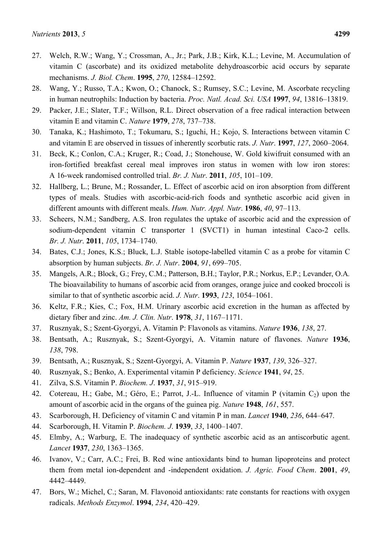- 27. Welch, R.W.; Wang, Y.; Crossman, A., Jr.; Park, J.B.; Kirk, K.L.; Levine, M. Accumulation of vitamin C (ascorbate) and its oxidized metabolite dehydroascorbic acid occurs by separate mechanisms. *J. Biol. Chem*. **1995**, *270*, 12584–12592.
- 28. Wang, Y.; Russo, T.A.; Kwon, O.; Chanock, S.; Rumsey, S.C.; Levine, M. Ascorbate recycling in human neutrophils: Induction by bacteria. *Proc. Natl. Acad. Sci. USA* **1997**, *94*, 13816–13819.
- 29. Packer, J.E.; Slater, T.F.; Willson, R.L. Direct observation of a free radical interaction between vitamin E and vitamin C. *Nature* **1979**, *278*, 737–738.
- 30. Tanaka, K.; Hashimoto, T.; Tokumaru, S.; Iguchi, H.; Kojo, S. Interactions between vitamin C and vitamin E are observed in tissues of inherently scorbutic rats. *J. Nutr*. **1997**, *127*, 2060–2064.
- 31. Beck, K.; Conlon, C.A.; Kruger, R.; Coad, J.; Stonehouse, W. Gold kiwifruit consumed with an iron-fortified breakfast cereal meal improves iron status in women with low iron stores: A 16-week randomised controlled trial. *Br. J. Nutr*. **2011**, *105*, 101–109.
- 32. Hallberg, L.; Brune, M.; Rossander, L. Effect of ascorbic acid on iron absorption from different types of meals. Studies with ascorbic-acid-rich foods and synthetic ascorbic acid given in different amounts with different meals. *Hum. Nutr. Appl. Nutr*. **1986**, *40*, 97–113.
- 33. Scheers, N.M.; Sandberg, A.S. Iron regulates the uptake of ascorbic acid and the expression of sodium-dependent vitamin C transporter 1 (SVCT1) in human intestinal Caco-2 cells. *Br. J. Nutr*. **2011**, *105*, 1734–1740.
- 34. Bates, C.J.; Jones, K.S.; Bluck, L.J. Stable isotope-labelled vitamin C as a probe for vitamin C absorption by human subjects. *Br. J. Nutr*. **2004**, *91*, 699–705.
- 35. Mangels, A.R.; Block, G.; Frey, C.M.; Patterson, B.H.; Taylor, P.R.; Norkus, E.P.; Levander, O.A*.* The bioavailability to humans of ascorbic acid from oranges, orange juice and cooked broccoli is similar to that of synthetic ascorbic acid. *J. Nutr*. **1993**, *123*, 1054–1061.
- 36. Keltz, F.R.; Kies, C.; Fox, H.M. Urinary ascorbic acid excretion in the human as affected by dietary fiber and zinc. *Am. J. Clin. Nutr*. **1978**, *31*, 1167–1171.
- 37. Rusznyak, S.; Szent-Gyorgyi, A. Vitamin P: Flavonols as vitamins. *Nature* **1936**, *138*, 27.
- 38. Bentsath, A.; Rusznyak, S.; Szent-Gyorgyi, A. Vitamin nature of flavones. *Nature* **1936**, *138*, 798.
- 39. Bentsath, A.; Rusznyak, S.; Szent-Gyorgyi, A. Vitamin P. *Nature* **1937**, *139*, 326–327.
- 40. Rusznyak, S.; Benko, A. Experimental vitamin P deficiency. *Science* **1941**, *94*, 25.
- 41. Zilva, S.S. Vitamin P. *Biochem. J*. **1937**, *31*, 915–919.
- 42. Cotereau, H.; Gabe, M.; Géro, E.; Parrot, J.-L. Influence of vitamin P (vitamin  $C_2$ ) upon the amount of ascorbic acid in the organs of the guinea pig. *Nature* **1948**, *161*, 557.
- 43. Scarborough, H. Deficiency of vitamin C and vitamin P in man. *Lancet* **1940**, *236*, 644–647.
- 44. Scarborough, H. Vitamin P. *Biochem. J*. **1939**, *33*, 1400–1407.
- 45. Elmby, A.; Warburg, E. The inadequacy of synthetic ascorbic acid as an antiscorbutic agent. *Lancet* **1937**, *230*, 1363–1365.
- 46. Ivanov, V.; Carr, A.C.; Frei, B. Red wine antioxidants bind to human lipoproteins and protect them from metal ion-dependent and -independent oxidation. *J. Agric. Food Chem*. **2001**, *49*, 4442–4449.
- 47. Bors, W.; Michel, C.; Saran, M. Flavonoid antioxidants: rate constants for reactions with oxygen radicals. *Methods Enzymol*. **1994**, *234*, 420–429.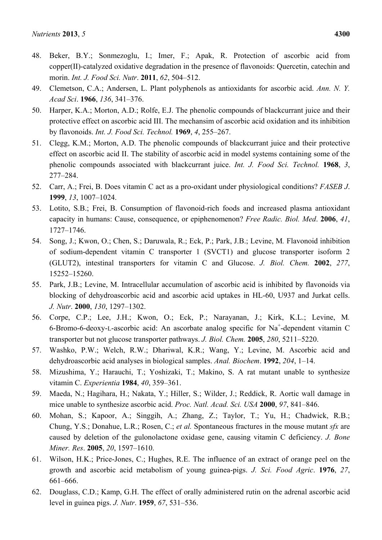- 48. Beker, B.Y.; Sonmezoglu, I.; Imer, F.; Apak, R. Protection of ascorbic acid from copper(II)-catalyzed oxidative degradation in the presence of flavonoids: Quercetin, catechin and morin. *Int. J. Food Sci. Nutr*. **2011**, *62*, 504–512.
- 49. Clemetson, C.A.; Andersen, L. Plant polyphenols as antioxidants for ascorbic acid. *Ann. N. Y. Acad Sci*. **1966**, *136*, 341–376.
- 50. Harper, K.A.; Morton, A.D.; Rolfe, E.J. The phenolic compounds of blackcurrant juice and their protective effect on ascorbic acid III. The mechansim of ascorbic acid oxidation and its inhibition by flavonoids. *Int. J. Food Sci. Technol.* **1969**, *4*, 255–267.
- 51. Clegg, K.M.; Morton, A.D. The phenolic compounds of blackcurrant juice and their protective effect on ascorbic acid II. The stability of ascorbic acid in model systems containing some of the phenolic compounds associated with blackcurrant juice. *Int. J. Food Sci. Technol.* **1968**, *3*, 277–284.
- 52. Carr, A.; Frei, B. Does vitamin C act as a pro-oxidant under physiological conditions? *FASEB J*. **1999**, *13*, 1007–1024.
- 53. Lotito, S.B.; Frei, B. Consumption of flavonoid-rich foods and increased plasma antioxidant capacity in humans: Cause, consequence, or epiphenomenon? *Free Radic. Biol. Med*. **2006**, *41*, 1727–1746.
- 54. Song, J.; Kwon, O.; Chen, S.; Daruwala, R.; Eck, P.; Park, J.B.; Levine, M*.* Flavonoid inhibition of sodium-dependent vitamin C transporter 1 (SVCT1) and glucose transporter isoform 2 (GLUT2), intestinal transporters for vitamin C and Glucose. *J. Biol. Chem.* **2002**, *277*, 15252–15260.
- 55. Park, J.B.; Levine, M. Intracellular accumulation of ascorbic acid is inhibited by flavonoids via blocking of dehydroascorbic acid and ascorbic acid uptakes in HL-60, U937 and Jurkat cells. *J. Nutr*. **2000**, *130*, 1297–1302.
- 56. Corpe, C.P.; Lee, J.H.; Kwon, O.; Eck, P.; Narayanan, J.; Kirk, K.L.; Levine, M*.* 6-Bromo-6-deoxy-L-ascorbic acid: An ascorbate analog specific for  $Na^+$ -dependent vitamin C transporter but not glucose transporter pathways. *J. Biol. Chem.* **2005**, *280*, 5211–5220.
- 57. Washko, P.W.; Welch, R.W.; Dhariwal, K.R.; Wang, Y.; Levine, M. Ascorbic acid and dehydroascorbic acid analyses in biological samples. *Anal. Biochem*. **1992**, *204*, 1–14.
- 58. Mizushima, Y.; Harauchi, T.; Yoshizaki, T.; Makino, S. A rat mutant unable to synthesize vitamin C. *Experientia* **1984**, *40*, 359–361.
- 59. Maeda, N.; Hagihara, H.; Nakata, Y.; Hiller, S.; Wilder, J.; Reddick, R. Aortic wall damage in mice unable to synthesize ascorbic acid. *Proc. Natl. Acad. Sci. USA* **2000**, *97*, 841–846.
- 60. Mohan, S.; Kapoor, A.; Singgih, A.; Zhang, Z.; Taylor, T.; Yu, H.; Chadwick, R.B.; Chung, Y.S.; Donahue, L.R.; Rosen, C.; *et al.* Spontaneous fractures in the mouse mutant *sfx* are caused by deletion of the gulonolactone oxidase gene, causing vitamin C deficiency. *J. Bone Miner. Res*. **2005**, *20*, 1597–1610.
- 61. Wilson, H.K.; Price-Jones, C.; Hughes, R.E. The influence of an extract of orange peel on the growth and ascorbic acid metabolism of young guinea-pigs. *J. Sci. Food Agric*. **1976**, *27*, 661–666.
- 62. Douglass, C.D.; Kamp, G.H. The effect of orally administered rutin on the adrenal ascorbic acid level in guinea pigs. *J. Nutr*. **1959**, *67*, 531–536.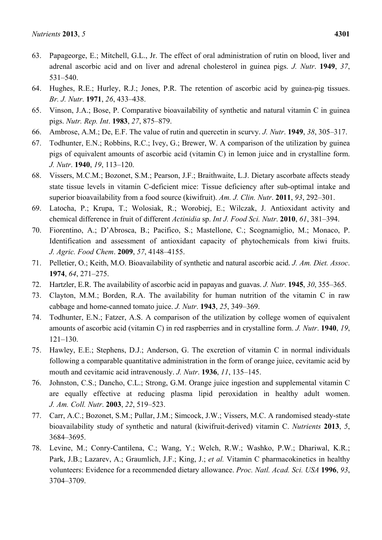- 63. Papageorge, E.; Mitchell, G.L., Jr. The effect of oral administration of rutin on blood, liver and adrenal ascorbic acid and on liver and adrenal cholesterol in guinea pigs. *J. Nutr*. **1949**, *37*, 531–540.
- 64. Hughes, R.E.; Hurley, R.J.; Jones, P.R. The retention of ascorbic acid by guinea-pig tissues. *Br. J. Nutr*. **1971**, *26*, 433–438.
- 65. Vinson, J.A.; Bose, P. Comparative bioavailability of synthetic and natural vitamin C in guinea pigs. *Nutr. Rep. Int*. **1983**, *27*, 875–879.
- 66. Ambrose, A.M.; De, E.F. The value of rutin and quercetin in scurvy. *J. Nutr*. **1949**, *38*, 305–317.
- 67. Todhunter, E.N.; Robbins, R.C.; Ivey, G.; Brewer, W. A comparison of the utilization by guinea pigs of equivalent amounts of ascorbic acid (vitamin C) in lemon juice and in crystalline form. *J. Nutr*. **1940**, *19*, 113–120.
- 68. Vissers, M.C.M.; Bozonet, S.M.; Pearson, J.F.; Braithwaite, L.J. Dietary ascorbate affects steady state tissue levels in vitamin C-deficient mice: Tissue deficiency after sub-optimal intake and superior bioavailability from a food source (kiwifruit). *Am. J. Clin. Nutr*. **2011**, *93*, 292–301.
- 69. Latocha, P.; Krupa, T.; Wolosiak, R.; Worobiej, E.; Wilczak, J. Antioxidant activity and chemical difference in fruit of different *Actinidia* sp. *Int J. Food Sci. Nutr*. **2010**, *61*, 381–394.
- 70. Fiorentino, A.; D'Abrosca, B.; Pacifico, S.; Mastellone, C.; Scognamiglio, M.; Monaco, P. Identification and assessment of antioxidant capacity of phytochemicals from kiwi fruits. *J. Agric. Food Chem*. **2009**, *57*, 4148–4155.
- 71. Pelletier, O.; Keith, M.O. Bioavailability of synthetic and natural ascorbic acid. *J. Am. Diet. Assoc*. **1974**, *64*, 271–275.
- 72. Hartzler, E.R. The availability of ascorbic acid in papayas and guavas. *J. Nutr*. **1945**, *30*, 355–365.
- 73. Clayton, M.M.; Borden, R.A. The availability for human nutrition of the vitamin C in raw cabbage and home-canned tomato juice. *J. Nutr*. **1943**, *25*, 349–369.
- 74. Todhunter, E.N.; Fatzer, A.S. A comparison of the utilization by college women of equivalent amounts of ascorbic acid (vitamin C) in red raspberries and in crystalline form. *J. Nutr*. **1940**, *19*, 121–130.
- 75. Hawley, E.E.; Stephens, D.J.; Anderson, G. The excretion of vitamin C in normal individuals following a comparable quantitative administration in the form of orange juice, cevitamic acid by mouth and cevitamic acid intravenously. *J. Nutr*. **1936**, *11*, 135–145.
- 76. Johnston, C.S.; Dancho, C.L.; Strong, G.M. Orange juice ingestion and supplemental vitamin C are equally effective at reducing plasma lipid peroxidation in healthy adult women. *J. Am. Coll. Nutr*. **2003**, *22*, 519–523.
- 77. Carr, A.C.; Bozonet, S.M.; Pullar, J.M.; Simcock, J.W.; Vissers, M.C. A randomised steady-state bioavailability study of synthetic and natural (kiwifruit-derived) vitamin C. *Nutrients* **2013**, *5*, 3684–3695.
- 78. Levine, M.; Conry-Cantilena, C.; Wang, Y.; Welch, R.W.; Washko, P.W.; Dhariwal, K.R.; Park, J.B.; Lazarev, A.; Graumlich, J.F.; King, J.; *et al.* Vitamin C pharmacokinetics in healthy volunteers: Evidence for a recommended dietary allowance. *Proc. Natl. Acad. Sci. USA* **1996**, *93*, 3704–3709.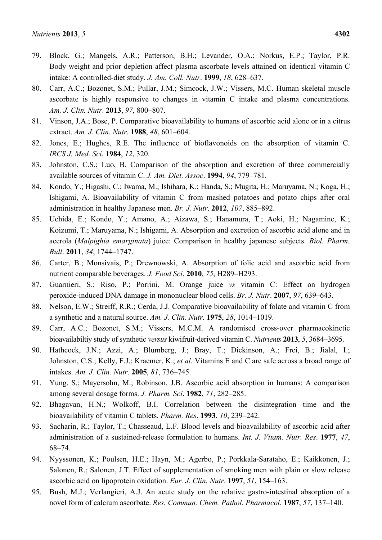- 79. Block, G.; Mangels, A.R.; Patterson, B.H.; Levander, O.A.; Norkus, E.P.; Taylor, P.R. Body weight and prior depletion affect plasma ascorbate levels attained on identical vitamin C intake: A controlled-diet study. *J. Am. Coll. Nutr*. **1999**, *18*, 628–637.
- 80. Carr, A.C.; Bozonet, S.M.; Pullar, J.M.; Simcock, J.W.; Vissers, M.C. Human skeletal muscle ascorbate is highly responsive to changes in vitamin C intake and plasma concentrations. *Am. J. Clin. Nutr*. **2013**, *97*, 800–807.
- 81. Vinson, J.A.; Bose, P. Comparative bioavailability to humans of ascorbic acid alone or in a citrus extract. *Am. J. Clin. Nutr*. **1988**, *48*, 601–604.
- 82. Jones, E.; Hughes, R.E. The influence of bioflavonoids on the absorption of vitamin C. *IRCS J. Med. Sci*. **1984**, *12*, 320.
- 83. Johnston, C.S.; Luo, B. Comparison of the absorption and excretion of three commercially available sources of vitamin C. *J. Am. Diet. Assoc*. **1994**, *94*, 779–781.
- 84. Kondo, Y.; Higashi, C.; Iwama, M.; Ishihara, K.; Handa, S.; Mugita, H.; Maruyama, N.; Koga, H.; Ishigami, A. Bioavailability of vitamin C from mashed potatoes and potato chips after oral administration in healthy Japanese men. *Br. J. Nutr*. **2012**, *107*, 885–892.
- 85. Uchida, E.; Kondo, Y.; Amano, A.; Aizawa, S.; Hanamura, T.; Aoki, H.; Nagamine, K.; Koizumi, T.; Maruyama, N.; Ishigami, A*.* Absorption and excretion of ascorbic acid alone and in acerola (*Malpighia emarginata*) juice: Comparison in healthy japanese subjects. *Biol. Pharm. Bull*. **2011**, *34*, 1744–1747.
- 86. Carter, B.; Monsivais, P.; Drewnowski, A. Absorption of folic acid and ascorbic acid from nutrient comparable beverages. *J. Food Sci*. **2010**, *75*, H289–H293.
- 87. Guarnieri, S.; Riso, P.; Porrini, M. Orange juice *vs* vitamin C: Effect on hydrogen peroxide-induced DNA damage in mononuclear blood cells. *Br. J. Nutr*. **2007**, *97*, 639–643.
- 88. Nelson, E.W.; Streiff, R.R.; Cerda, J.J. Comparative bioavailability of folate and vitamin C from a synthetic and a natural source. *Am. J. Clin. Nutr*. **1975**, *28*, 1014–1019.
- 89. Carr, A.C.; Bozonet, S.M.; Vissers, M.C.M. A randomised cross-over pharmacokinetic bioavailabiltiy study of synthetic *versus* kiwifruit-derived vitamin C. *Nutrients* **2013**, *5*, 3684–3695.
- 90. Hathcock, J.N.; Azzi, A.; Blumberg, J.; Bray, T.; Dickinson, A.; Frei, B.; Jialal, I.; Johnston, C.S.; Kelly, F.J.; Kraemer, K.; *et al.* Vitamins E and C are safe across a broad range of intakes. *Am. J. Clin. Nutr*. **2005**, *81*, 736–745.
- 91. Yung, S.; Mayersohn, M.; Robinson, J.B. Ascorbic acid absorption in humans: A comparison among several dosage forms. *J. Pharm. Sci*. **1982**, *71*, 282–285.
- 92. Bhagavan, H.N.; Wolkoff, B.I. Correlation between the disintegration time and the bioavailability of vitamin C tablets. *Pharm. Res*. **1993**, *10*, 239–242.
- 93. Sacharin, R.; Taylor, T.; Chasseaud, L.F. Blood levels and bioavailability of ascorbic acid after administration of a sustained-release formulation to humans. *Int. J. Vitam. Nutr. Res*. **1977**, *47*, 68–74.
- 94. Nyyssonen, K.; Poulsen, H.E.; Hayn, M.; Agerbo, P.; Porkkala-Sarataho, E.; Kaikkonen, J.; Salonen, R.; Salonen, J.T*.* Effect of supplementation of smoking men with plain or slow release ascorbic acid on lipoprotein oxidation. *Eur. J. Clin. Nutr*. **1997**, *51*, 154–163.
- 95. Bush, M.J.; Verlangieri, A.J. An acute study on the relative gastro-intestinal absorption of a novel form of calcium ascorbate. *Res. Commun. Chem. Pathol. Pharmacol*. **1987**, *57*, 137–140.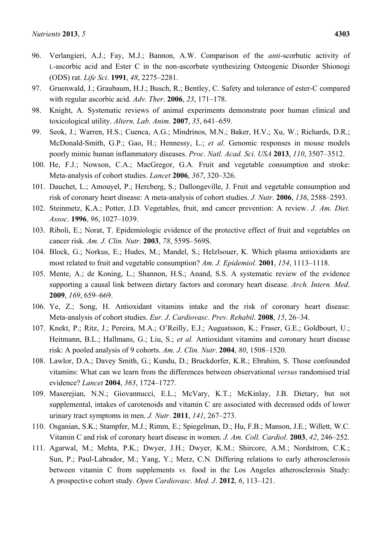- 96. Verlangieri, A.J.; Fay, M.J.; Bannon, A.W. Comparison of the *anti*-scorbutic activity of L-ascorbic acid and Ester C in the non-ascorbate synthesizing Osteogenic Disorder Shionogi (ODS) rat. *Life Sci*. **1991**, *48*, 2275–2281.
- 97. Gruenwald, J.; Graubaum, H.J.; Busch, R.; Bentley, C. Safety and tolerance of ester-C compared with regular ascorbic acid. *Adv. Ther*. **2006**, *23*, 171–178.
- 98. Knight, A. Systematic reviews of animal experiments demonstrate poor human clinical and toxicological utility. *Altern. Lab. Anim*. **2007**, *35*, 641–659.
- 99. Seok, J.; Warren, H.S.; Cuenca, A.G.; Mindrinos, M.N.; Baker, H.V.; Xu, W.; Richards, D.R.; McDonald-Smith, G.P.; Gao, H.; Hennessy, L.; *et al.* Genomic responses in mouse models poorly mimic human inflammatory diseases. *Proc. Natl. Acad. Sci. USA* **2013**, *110*, 3507–3512.
- 100. He, F.J.; Nowson, C.A.; MacGregor, G.A. Fruit and vegetable consumption and stroke: Meta-analysis of cohort studies. *Lancet* **2006**, *367*, 320–326.
- 101. Dauchet, L.; Amouyel, P.; Hercberg, S.; Dallongeville, J. Fruit and vegetable consumption and risk of coronary heart disease: A meta-analysis of cohort studies. *J. Nutr*. **2006**, *136*, 2588–2593.
- 102. Steinmetz, K.A.; Potter, J.D. Vegetables, fruit, and cancer prevention: A review. *J. Am. Diet. Assoc*. **1996**, *96*, 1027–1039.
- 103. Riboli, E.; Norat, T. Epidemiologic evidence of the protective effect of fruit and vegetables on cancer risk. *Am. J. Clin. Nutr*. **2003**, *78*, 559S–569S.
- 104. Block, G.; Norkus, E.; Hudes, M.; Mandel, S.; Helzlsouer, K. Which plasma antioxidants are most related to fruit and vegetable consumption? *Am. J. Epidemiol*. **2001**, *154*, 1113–1118.
- 105. Mente, A.; de Koning, L.; Shannon, H.S.; Anand, S.S. A systematic review of the evidence supporting a causal link between dietary factors and coronary heart disease. *Arch. Intern. Med*. **2009**, *169*, 659–669.
- 106. Ye, Z.; Song, H. Antioxidant vitamins intake and the risk of coronary heart disease: Meta-analysis of cohort studies. *Eur. J. Cardiovasc. Prev. Rehabil*. **2008**, *15*, 26–34.
- 107. Knekt, P.; Ritz, J.; Pereira, M.A.; O'Reilly, E.J.; Augustsson, K.; Fraser, G.E.; Goldbourt, U.; Heitmann, B.L.; Hallmans, G.; Liu, S.; *et al.* Antioxidant vitamins and coronary heart disease risk: A pooled analysis of 9 cohorts. *Am. J. Clin. Nutr*. **2004**, *80*, 1508–1520.
- 108. Lawlor, D.A.; Davey Smith, G.; Kundu, D.; Bruckdorfer, K.R.; Ebrahim, S. Those confounded vitamins: What can we learn from the differences between observational *versus* randomised trial evidence? *Lancet* **2004**, *363*, 1724–1727.
- 109. Maserejian, N.N.; Giovannucci, E.L.; McVary, K.T.; McKinlay, J.B. Dietary, but not supplemental, intakes of carotenoids and vitamin C are associated with decreased odds of lower urinary tract symptoms in men. *J. Nutr*. **2011**, *141*, 267–273.
- 110. Osganian, S.K.; Stampfer, M.J.; Rimm, E.; Spiegelman, D.; Hu, F.B.; Manson, J.E.; Willett, W.C. Vitamin C and risk of coronary heart disease in women. *J. Am. Coll. Cardiol*. **2003**, *42*, 246–252.
- 111. Agarwal, M.; Mehta, P.K.; Dwyer, J.H.; Dwyer, K.M.; Shircore, A.M.; Nordstrom, C.K.; Sun, P.; Paul-Labrador, M.; Yang, Y.; Merz, C.N*.* Differing relations to early atherosclerosis between vitamin C from supplements *vs.* food in the Los Angeles atherosclerosis Study: A prospective cohort study. *Open Cardiovasc. Med. J*. **2012**, *6*, 113–121.